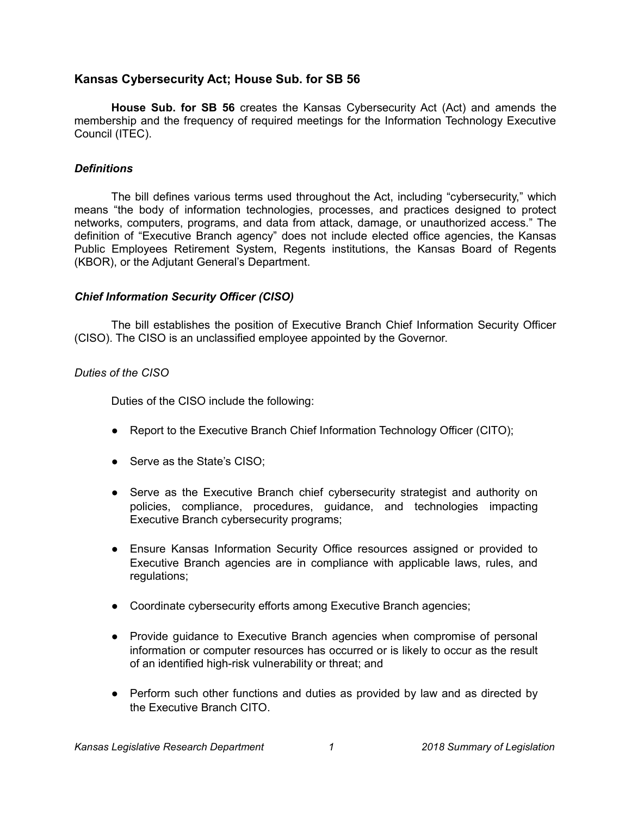# **Kansas Cybersecurity Act; House Sub. for SB 56**

**House Sub. for SB 56** creates the Kansas Cybersecurity Act (Act) and amends the membership and the frequency of required meetings for the Information Technology Executive Council (ITEC).

#### *Definitions*

The bill defines various terms used throughout the Act, including "cybersecurity," which means "the body of information technologies, processes, and practices designed to protect networks, computers, programs, and data from attack, damage, or unauthorized access." The definition of "Executive Branch agency" does not include elected office agencies, the Kansas Public Employees Retirement System, Regents institutions, the Kansas Board of Regents (KBOR), or the Adjutant General's Department.

#### *Chief Information Security Officer (CISO)*

The bill establishes the position of Executive Branch Chief Information Security Officer (CISO). The CISO is an unclassified employee appointed by the Governor.

#### *Duties of the CISO*

Duties of the CISO include the following:

- Report to the Executive Branch Chief Information Technology Officer (CITO);
- Serve as the State's CISO;
- Serve as the Executive Branch chief cybersecurity strategist and authority on policies, compliance, procedures, guidance, and technologies impacting Executive Branch cybersecurity programs;
- Ensure Kansas Information Security Office resources assigned or provided to Executive Branch agencies are in compliance with applicable laws, rules, and regulations;
- Coordinate cybersecurity efforts among Executive Branch agencies;
- Provide guidance to Executive Branch agencies when compromise of personal information or computer resources has occurred or is likely to occur as the result of an identified high-risk vulnerability or threat; and
- Perform such other functions and duties as provided by law and as directed by the Executive Branch CITO.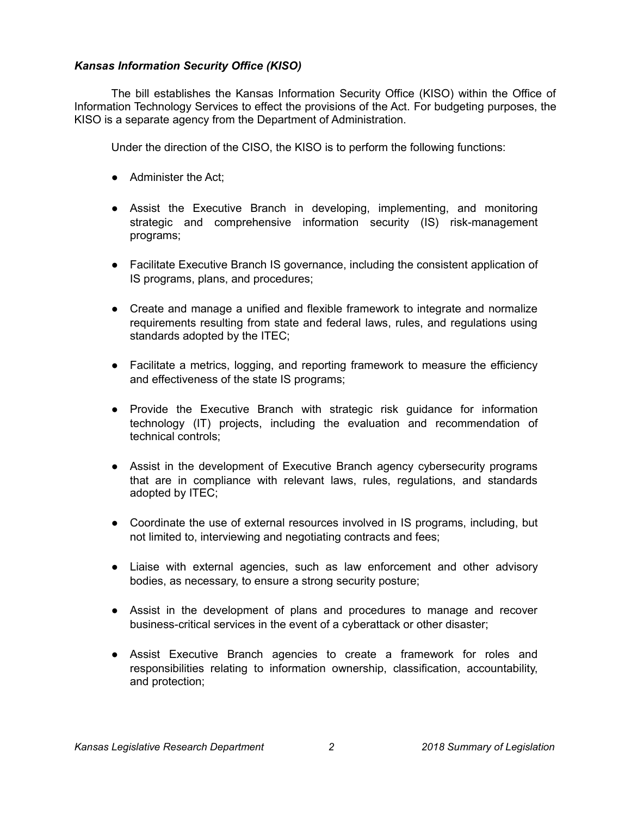# *Kansas Information Security Office (KISO)*

The bill establishes the Kansas Information Security Office (KISO) within the Office of Information Technology Services to effect the provisions of the Act. For budgeting purposes, the KISO is a separate agency from the Department of Administration.

Under the direction of the CISO, the KISO is to perform the following functions:

- Administer the Act:
- Assist the Executive Branch in developing, implementing, and monitoring strategic and comprehensive information security (IS) risk-management programs;
- Facilitate Executive Branch IS governance, including the consistent application of IS programs, plans, and procedures;
- Create and manage a unified and flexible framework to integrate and normalize requirements resulting from state and federal laws, rules, and regulations using standards adopted by the ITEC;
- Facilitate a metrics, logging, and reporting framework to measure the efficiency and effectiveness of the state IS programs;
- Provide the Executive Branch with strategic risk guidance for information technology (IT) projects, including the evaluation and recommendation of technical controls;
- Assist in the development of Executive Branch agency cybersecurity programs that are in compliance with relevant laws, rules, regulations, and standards adopted by ITEC;
- Coordinate the use of external resources involved in IS programs, including, but not limited to, interviewing and negotiating contracts and fees;
- Liaise with external agencies, such as law enforcement and other advisory bodies, as necessary, to ensure a strong security posture;
- Assist in the development of plans and procedures to manage and recover business-critical services in the event of a cyberattack or other disaster;
- Assist Executive Branch agencies to create a framework for roles and responsibilities relating to information ownership, classification, accountability, and protection;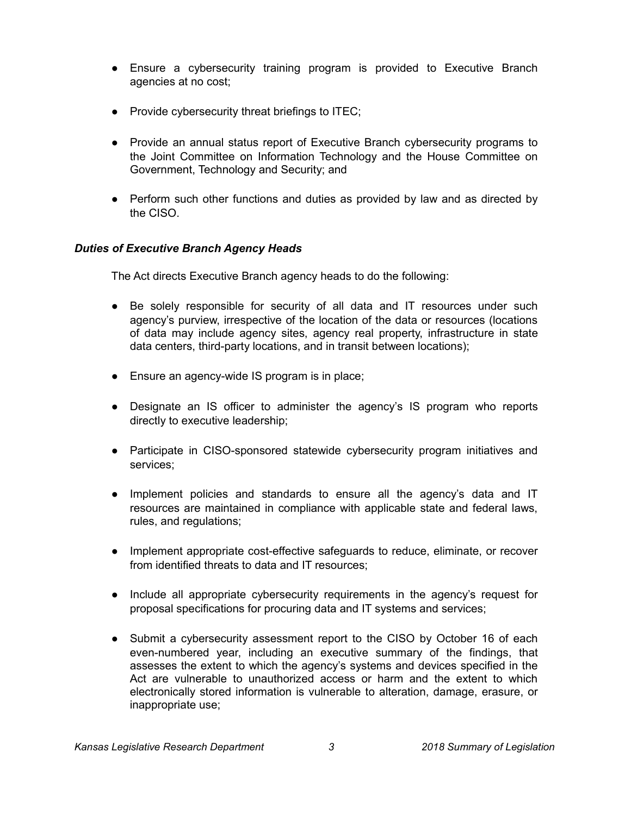- Ensure a cybersecurity training program is provided to Executive Branch agencies at no cost;
- Provide cybersecurity threat briefings to ITEC;
- Provide an annual status report of Executive Branch cybersecurity programs to the Joint Committee on Information Technology and the House Committee on Government, Technology and Security; and
- Perform such other functions and duties as provided by law and as directed by the CISO.

# *Duties of Executive Branch Agency Heads*

The Act directs Executive Branch agency heads to do the following:

- Be solely responsible for security of all data and IT resources under such agency's purview, irrespective of the location of the data or resources (locations of data may include agency sites, agency real property, infrastructure in state data centers, third-party locations, and in transit between locations);
- Ensure an agency-wide IS program is in place;
- Designate an IS officer to administer the agency's IS program who reports directly to executive leadership;
- Participate in CISO-sponsored statewide cybersecurity program initiatives and services;
- Implement policies and standards to ensure all the agency's data and IT resources are maintained in compliance with applicable state and federal laws, rules, and regulations;
- Implement appropriate cost-effective safeguards to reduce, eliminate, or recover from identified threats to data and IT resources;
- Include all appropriate cybersecurity requirements in the agency's request for proposal specifications for procuring data and IT systems and services;
- Submit a cybersecurity assessment report to the CISO by October 16 of each even-numbered year, including an executive summary of the findings, that assesses the extent to which the agency's systems and devices specified in the Act are vulnerable to unauthorized access or harm and the extent to which electronically stored information is vulnerable to alteration, damage, erasure, or inappropriate use;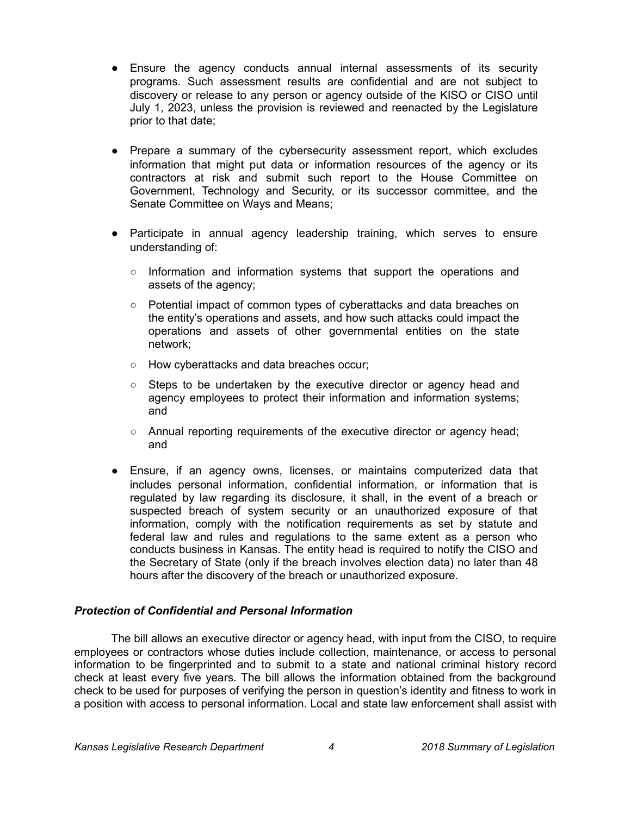- Ensure the agency conducts annual internal assessments of its security programs. Such assessment results are confidential and are not subject to discovery or release to any person or agency outside of the KISO or CISO until July 1, 2023, unless the provision is reviewed and reenacted by the Legislature prior to that date;
- Prepare a summary of the cybersecurity assessment report, which excludes information that might put data or information resources of the agency or its contractors at risk and submit such report to the House Committee on Government, Technology and Security, or its successor committee, and the Senate Committee on Ways and Means;
- Participate in annual agency leadership training, which serves to ensure understanding of:
	- Information and information systems that support the operations and assets of the agency;
	- Potential impact of common types of cyberattacks and data breaches on the entity's operations and assets, and how such attacks could impact the operations and assets of other governmental entities on the state network;
	- How cyberattacks and data breaches occur;
	- Steps to be undertaken by the executive director or agency head and agency employees to protect their information and information systems; and
	- Annual reporting requirements of the executive director or agency head; and
- Ensure, if an agency owns, licenses, or maintains computerized data that includes personal information, confidential information, or information that is regulated by law regarding its disclosure, it shall, in the event of a breach or suspected breach of system security or an unauthorized exposure of that information, comply with the notification requirements as set by statute and federal law and rules and regulations to the same extent as a person who conducts business in Kansas. The entity head is required to notify the CISO and the Secretary of State (only if the breach involves election data) no later than 48 hours after the discovery of the breach or unauthorized exposure.

# *Protection of Confidential and Personal Information*

The bill allows an executive director or agency head, with input from the CISO, to require employees or contractors whose duties include collection, maintenance, or access to personal information to be fingerprinted and to submit to a state and national criminal history record check at least every five years. The bill allows the information obtained from the background check to be used for purposes of verifying the person in question's identity and fitness to work in a position with access to personal information. Local and state law enforcement shall assist with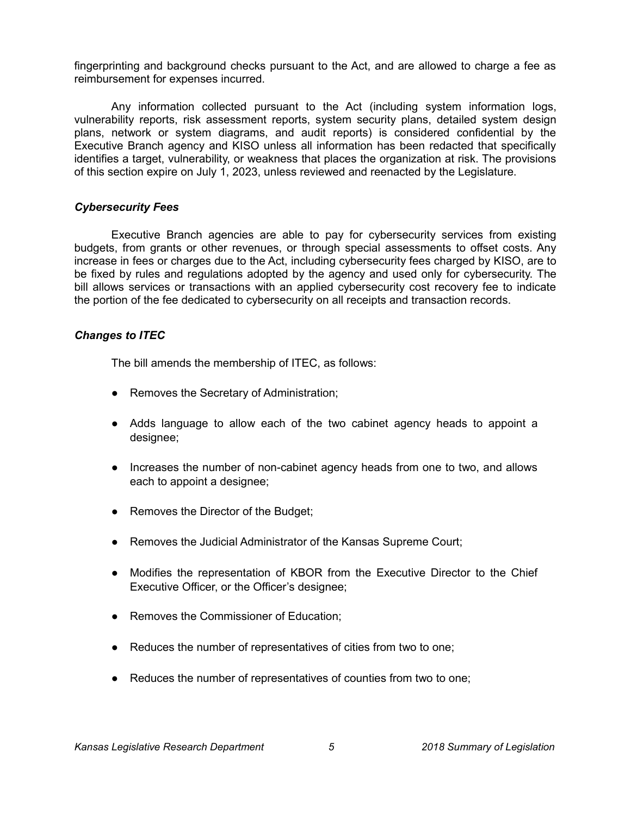fingerprinting and background checks pursuant to the Act, and are allowed to charge a fee as reimbursement for expenses incurred.

Any information collected pursuant to the Act (including system information logs, vulnerability reports, risk assessment reports, system security plans, detailed system design plans, network or system diagrams, and audit reports) is considered confidential by the Executive Branch agency and KISO unless all information has been redacted that specifically identifies a target, vulnerability, or weakness that places the organization at risk. The provisions of this section expire on July 1, 2023, unless reviewed and reenacted by the Legislature.

#### *Cybersecurity Fees*

Executive Branch agencies are able to pay for cybersecurity services from existing budgets, from grants or other revenues, or through special assessments to offset costs. Any increase in fees or charges due to the Act, including cybersecurity fees charged by KISO, are to be fixed by rules and regulations adopted by the agency and used only for cybersecurity. The bill allows services or transactions with an applied cybersecurity cost recovery fee to indicate the portion of the fee dedicated to cybersecurity on all receipts and transaction records.

# *Changes to ITEC*

The bill amends the membership of ITEC, as follows:

- Removes the Secretary of Administration;
- Adds language to allow each of the two cabinet agency heads to appoint a designee;
- Increases the number of non-cabinet agency heads from one to two, and allows each to appoint a designee;
- Removes the Director of the Budget;
- Removes the Judicial Administrator of the Kansas Supreme Court;
- Modifies the representation of KBOR from the Executive Director to the Chief Executive Officer, or the Officer's designee;
- Removes the Commissioner of Education;
- Reduces the number of representatives of cities from two to one;
- Reduces the number of representatives of counties from two to one;